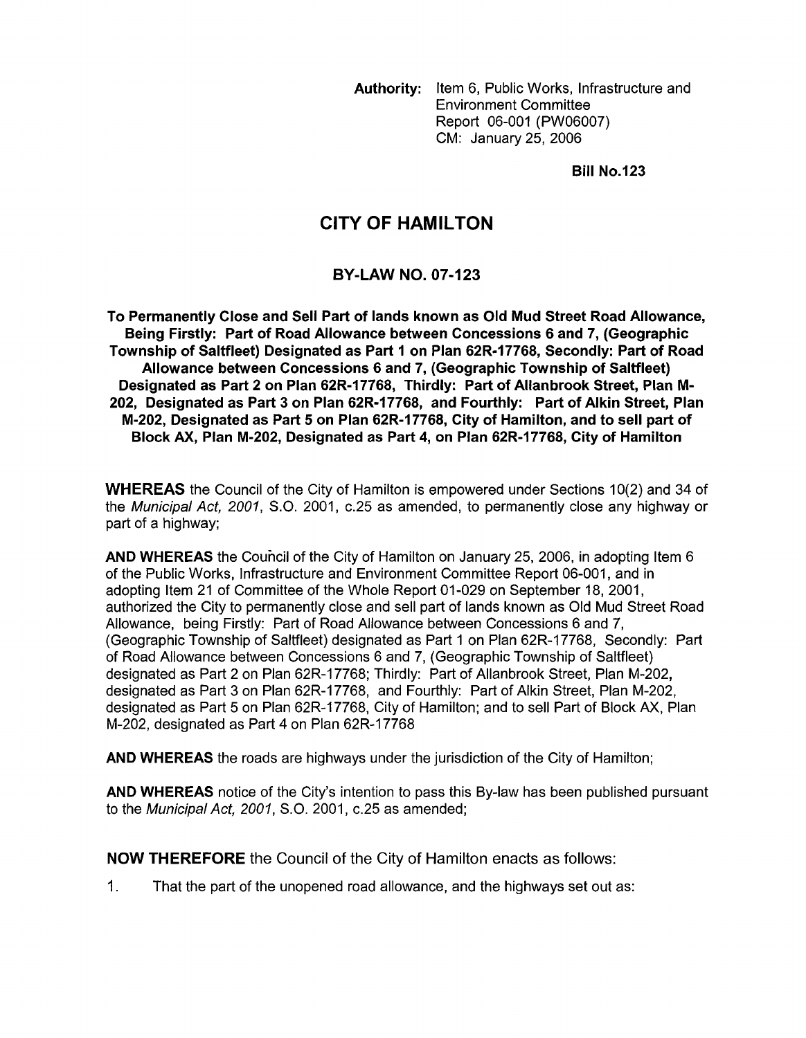Authority: Item 6, Public Works, Infrastructure and Environment Committee Report 06-001 (PW06007) CM: January 25, 2006

Bill No.123

## **CITY OF HAMILTON**

## BY-LAW NO. 07-123

To Permanently Close and Sell Part of lands known as Old Mud Street Road Allowance, Township of Saltfleet) Designated as Part I on Plan 62R-17768, Secondly: Part of Road Allowance between Concessions 6 and 7, (Geographic Township of Saltfleet) Designated as Part 2 on Plan 62R-17768, Thirdly: Part of Allanbrook Street, Plan M-M-202, Designated as Part 5 on Plan 62R-17768, City of Hamilton, and to sell part of Block AX, Plan M-202, Designated as Part 4, on Plan 62R-17768, City of Hamilton Being Firstly: Part of Road Allowance between Concessions 6 and 7, (Geographic 202, Designated as Part 3 **on** Plan 62R-17768, and Fourthly: Part of Alkin Street, Plan

WHEREAS the Council of the City of Hamilton is empowered under Sections 10(2) and 34 of the *Municipal Act, 2001, S.O.* 2001, c.25 as amended, to permanently close any highway or part of a highway;

AND WHEREAS the Council of the City of Hamilton on January 25, 2006, in adopting Item 6 of the Public Works, Infrastructure and Environment Committee Report 06-001, and in adopting Item 21 of Committee of the Whole Report 01-029 on September 18, 2001, authorized the City to permanently close and sell part of lands known as Old Mud Street Road Allowance, being Firstly: Part of Road Allowance between Concessions 6 and 7, (Geographic Township of Saltfleet) designated as Part 1 on Plan 62R-17768, Secondly: Part of Road Allowance between Concessions 6 and 7, (Geographic Township of Saltfleet) designated as Part 2 on Plan 62R-17768; Thirdly: Part of Allanbrook Street, Plan M-202, designated as Part 3 on Plan 62R-17768, and Fourthly: Part of Alkin Street, Plan M-202, designated as Part 5 on Plan 62R-17768, City of Hamilton; and to sell Part of Block *AX,* Plan M-202, designated as Part 4 on Plan 62R-17768

AND WHEREAS the roads are highways under the jurisdiction of the City of Hamilton;

AND WHEREAS notice of the City's intention to pass this By-law has been published pursuant to the *Municipal Act, 2001, S.O.* 2001, c.25 as amended;

NOW THEREFORE the Council of the City of Hamilton enacts as follows:

1. That the part of the unopened road allowance, and the highways set out as: